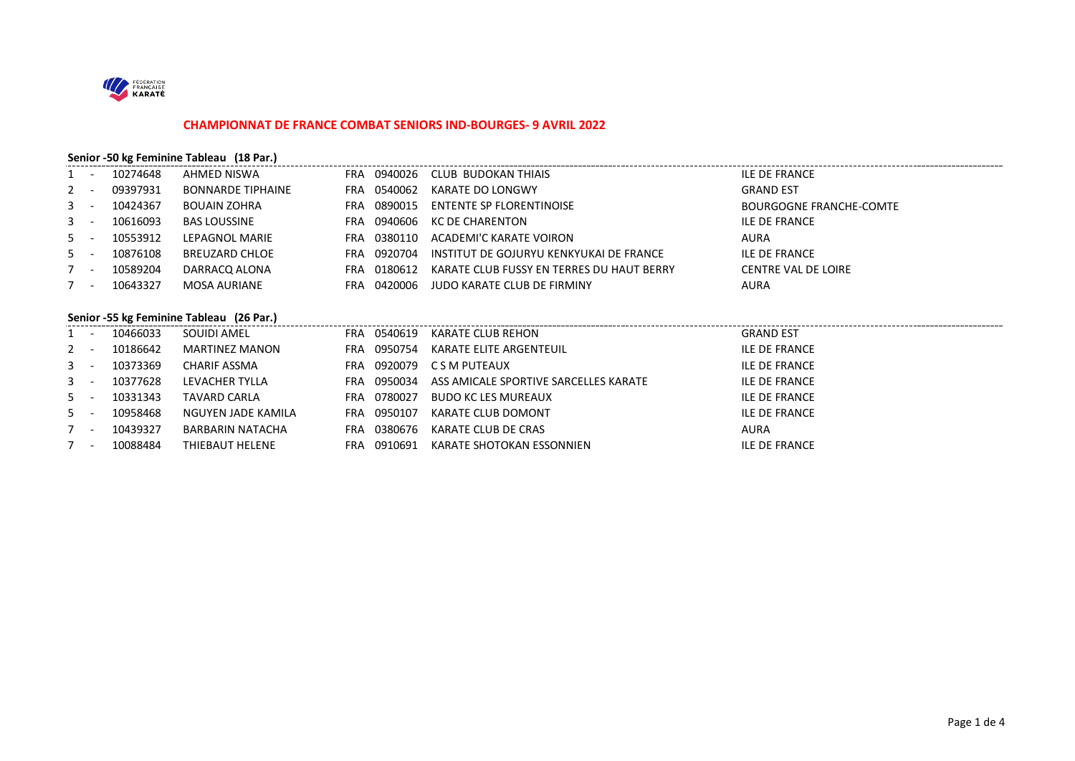

#### **CHAMPIONNAT DE FRANCE COMBAT SENIORS IND-BOURGES- 9 AVRIL 2022**

## **Senior -50 kg Feminine Tableau (18 Par.)**

| $1 -$   | 10274648 | AHMED NISWA              |     |             | FRA 0940026 CLUB BUDOKAN THIAIS                     | ILE DE FRANCE                  |
|---------|----------|--------------------------|-----|-------------|-----------------------------------------------------|--------------------------------|
| $2 -$   | 09397931 | <b>BONNARDE TIPHAINE</b> |     | FRA 0540062 | KARATE DO LONGWY                                    | <b>GRAND EST</b>               |
| $3 -$   | 10424367 | <b>BOUAIN ZOHRA</b>      | FRA | 0890015     | ENTENTE SP FLORENTINOISE                            | <b>BOURGOGNE FRANCHE-COMTE</b> |
| $3 - -$ | 10616093 | <b>BAS LOUSSINE</b>      |     |             | FRA 0940606 KC DE CHARENTON                         | ILE DE FRANCE                  |
| $5 -$   | 10553912 | LEPAGNOL MARIE           | FRA | 0380110     | ACADEMI'C KARATE VOIRON                             | AURA                           |
| $5 -$   | 10876108 | BREUZARD CHLOE           |     |             | FRA 0920704 INSTITUT DE GOJURYU KENKYUKAI DE FRANCE | ILE DE FRANCE                  |
| $7 -$   | 10589204 | DARRACO ALONA            | FRA | 0180612     | KARATE CLUB FUSSY EN TERRES DU HAUT BERRY           | CENTRE VAL DE LOIRE            |
| $7 -$   | 10643327 | MOSA AURIANE             | FRA | 0420006     | JUDO KARATE CLUB DE FIRMINY                         | AURA                           |
|         |          |                          |     |             |                                                     |                                |

## **Senior -55 kg Feminine Tableau (26 Par.)**

|         |       |          | $\frac{1}{2}$       |      |             |                                                   |                  |
|---------|-------|----------|---------------------|------|-------------|---------------------------------------------------|------------------|
| $1 -$   |       | 10466033 | SOUIDI AMEL         |      | FRA 0540619 | KARATE CLUB REHON                                 | <b>GRAND EST</b> |
| $2 -$   |       | 10186642 | MARTINEZ MANON      |      | FRA 0950754 | KARATE ELITE ARGENTEUIL                           | ILE DE FRANCE    |
| $3 - -$ |       | 10373369 | CHARIF ASSMA        | FRA  |             | 0920079 CSM PUTEAUX                               | ILE DE FRANCE    |
| $3 - -$ |       | 10377628 | LEVACHER TYLLA      |      |             | FRA 0950034 ASS AMICALE SPORTIVE SARCELLES KARATE | ILE DE FRANCE    |
|         | $5 -$ | 10331343 | <b>TAVARD CARLA</b> |      | FRA 0780027 | BUDO KC LES MUREAUX                               | ILE DE FRANCE    |
| $5 -$   |       | 10958468 | NGUYEN JADE KAMILA  | FRA  | 0950107     | KARATE CLUB DOMONT                                | ILE DE FRANCE    |
| $7 -$   |       | 10439327 | BARBARIN NATACHA    | FRA. | 0380676     | KARATE CLUB DE CRAS                               | <b>AURA</b>      |
|         |       | 10088484 | THIEBAUT HELENE     |      |             | FRA 0910691 KARATE SHOTOKAN ESSONNIEN             | ILE DE FRANCE    |
|         |       |          |                     |      |             |                                                   |                  |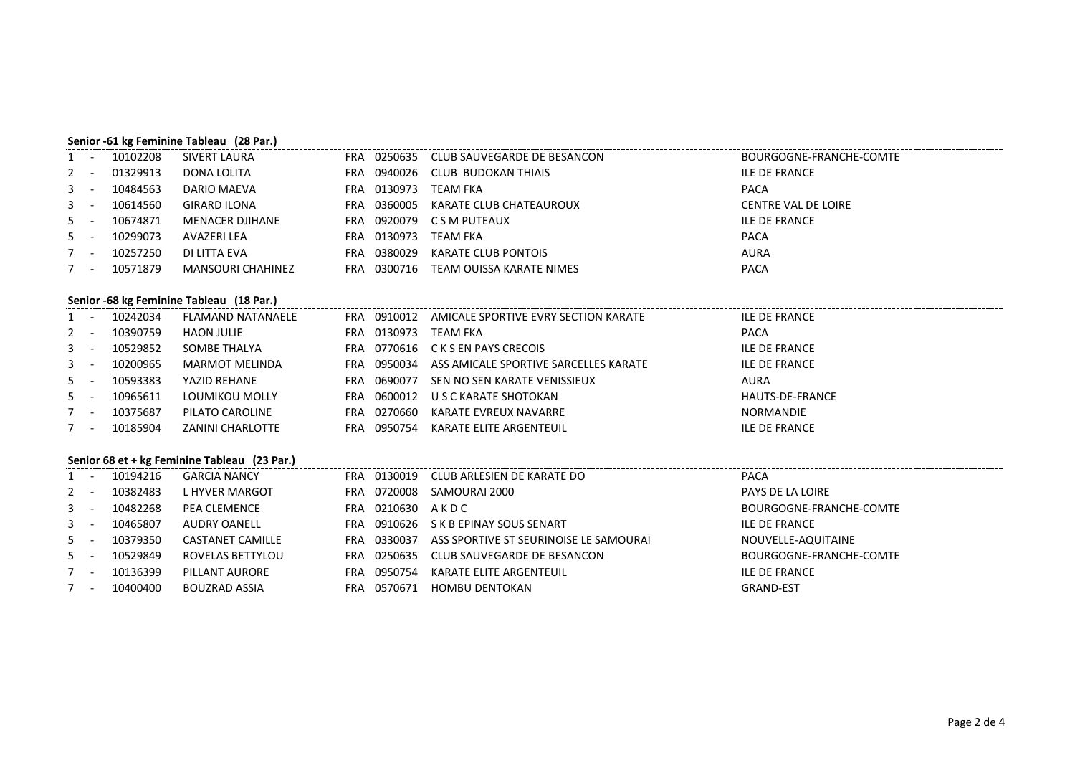#### **Senior -61 kg Feminine Tableau (28 Par.)**

| $1 -$ | 10102208 | SIVERT LAURA        | FRA  |             | 0250635 CLUB SAUVEGARDE DE BESANCON | BOURGOGNE-FRANCHE-COMTE    |
|-------|----------|---------------------|------|-------------|-------------------------------------|----------------------------|
| $2 -$ | 01329913 | DONA LOLITA         | FRA  | 0940026     | CLUB BUDOKAN THIAIS                 | ILE DE FRANCE              |
| $3 -$ | 10484563 | DARIO MAEVA         |      | FRA 0130973 | TEAM FKA                            | <b>PACA</b>                |
| $3 -$ | 10614560 | <b>GIRARD ILONA</b> | FRA  | 0360005     | KARATE CLUB CHATEAUROUX             | <b>CENTRE VAL DE LOIRE</b> |
| $5 -$ | 10674871 | MENACER DJIHANE     | FRA  |             | 0920079 CSM PUTEAUX                 | <b>ILE DE FRANCE</b>       |
| $5 -$ | 10299073 | AVAZERI LEA         |      | FRA 0130973 | TEAM FKA                            | <b>PACA</b>                |
| $7 -$ | 10257250 | DI LITTA EVA        | FRA  | 0380029     | KARATE CLUB PONTOIS                 | <b>AURA</b>                |
|       | 10571879 | MANSOURI CHAHINEZ   | FRA. |             | 0300716 TEAM OUISSA KARATE NIMES    | <b>PACA</b>                |

## **Senior -68 kg Feminine Tableau (18 Par.)**

| $1 -$ | 10242034 | FLAMAND NATANAELE | FRA | 0910012     | AMICALE SPORTIVE EVRY SECTION KARATE          | ILE DE FRANCE        |
|-------|----------|-------------------|-----|-------------|-----------------------------------------------|----------------------|
| $2 -$ | 10390759 | HAON JULIE        |     | FRA 0130973 | TEAM FKA                                      | <b>PACA</b>          |
| $3 -$ | 10529852 | SOMBE THALYA      |     |             | FRA 0770616 CKSEN PAYS CRECOIS                | <b>ILE DE FRANCE</b> |
| $3 -$ | 10200965 | MARMOT MELINDA    | FRA |             | 0950034 ASS AMICALE SPORTIVE SARCELLES KARATE | <b>ILE DE FRANCE</b> |
| $5 -$ | 10593383 | YAZID REHANE      |     | FRA 0690077 | SEN NO SEN KARATE VENISSIEUX                  | AURA                 |
| $5 -$ | 10965611 | LOUMIKOU MOLLY    | FRA |             | 0600012 U S C KARATE SHOTOKAN                 | HAUTS-DE-FRANCE      |
| $7 -$ | 10375687 | PILATO CAROLINE   |     | FRA 0270660 | KARATE EVREUX NAVARRE                         | NORMANDIE            |
| $7 -$ | 10185904 | ZANINI CHARLOTTE  | FRA | 0950754     | KARATE ELITE ARGENTEUIL                       | <b>ILE DE FRANCE</b> |

## **Senior 68 et + kg Feminine Tableau (23 Par.)**

|       |          | Senior 68 et + kg Feminine Tableau (23 Par.) |            |         |                                        |                         |
|-------|----------|----------------------------------------------|------------|---------|----------------------------------------|-------------------------|
|       | 10194216 | <b>GARCIA NANCY</b>                          | FRA        | 0130019 | CLUB ARLESIEN DE KARATE DO             | <b>PACA</b>             |
| $2 -$ | 10382483 | L HYVER MARGOT                               | <b>FRA</b> | 0720008 | SAMOURAI 2000                          | PAYS DE LA LOIRE        |
| $3 -$ | 10482268 | <b>PEA CLEMENCE</b>                          | FRA        | 0210630 | AKDC                                   | BOURGOGNE-FRANCHE-COMTE |
| $3 -$ | 10465807 | AUDRY OANELL                                 | <b>FRA</b> |         | 0910626 S K B EPINAY SOUS SENART       | <b>ILE DE FRANCE</b>    |
| $5 -$ | 10379350 | CASTANET CAMILLE                             | <b>FRA</b> | 0330037 | ASS SPORTIVE ST SEURINOISE LE SAMOURAI | NOUVELLE-AQUITAINE      |
| $5 -$ | 10529849 | ROVELAS BETTYLOU                             | FRA        | 0250635 | CLUB SAUVEGARDE DE BESANCON            | BOURGOGNE-FRANCHE-COMTE |
| $7 -$ | 10136399 | PILLANT AURORE                               | FRA        | 0950754 | KARATE ELITE ARGENTEUIL                | <b>ILE DE FRANCE</b>    |
| $7 -$ | 10400400 | <b>BOUZRAD ASSIA</b>                         | FRA        | 0570671 | HOMBU DENTOKAN                         | <b>GRAND-EST</b>        |
|       |          |                                              |            |         |                                        |                         |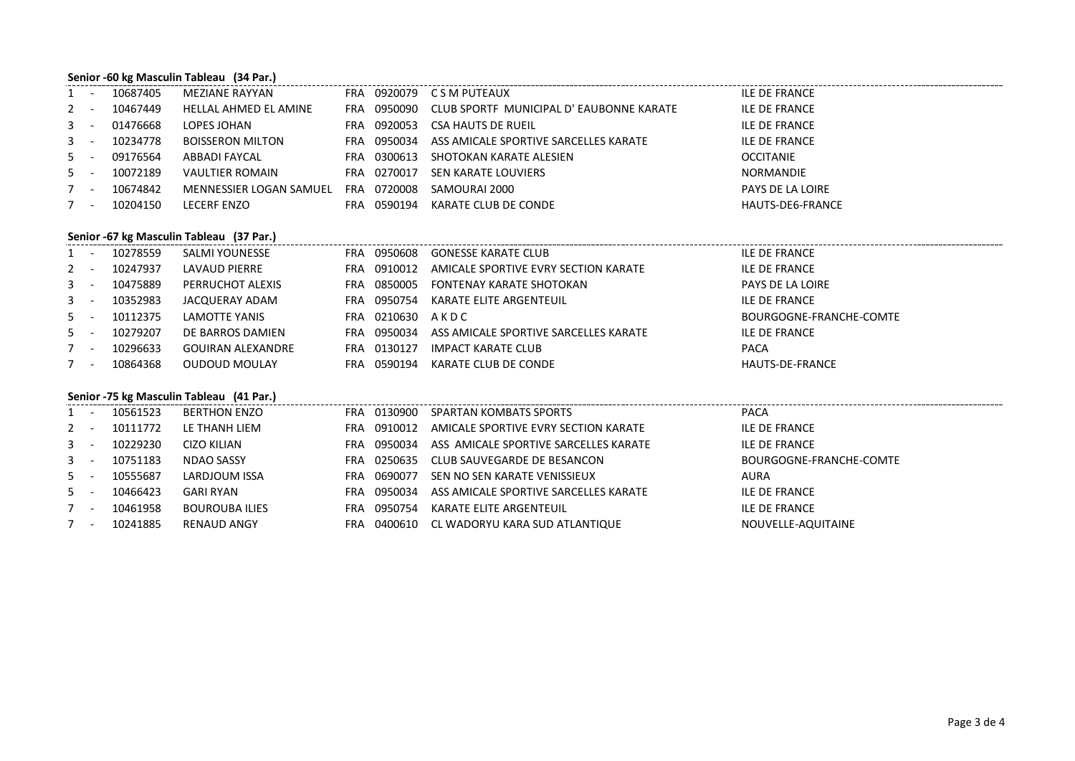### **Senior -60 kg Masculin Tableau (34 Par.)**

|       | $1 -$ | 10687405 | MEZIANE RAYYAN          |            |             | FRA 0920079 CSM PUTEAUX                 | ILE DE FRANCE    |
|-------|-------|----------|-------------------------|------------|-------------|-----------------------------------------|------------------|
|       | $2 -$ | 10467449 | HELLAL AHMED EL AMINE   | FRA        | 0950090     | CLUB SPORTF MUNICIPAL D'EAUBONNE KARATE | ILE DE FRANCE    |
|       | $3 -$ | 01476668 | LOPES JOHAN             | FRA        | 0920053     | CSA HAUTS DE RUEIL                      | ILE DE FRANCE    |
| $3 -$ |       | 10234778 | <b>BOISSERON MILTON</b> | FRA        | 0950034     | ASS AMICALE SPORTIVE SARCELLES KARATE   | ILE DE FRANCE    |
| $5 -$ |       | 09176564 | ABBADI FAYCAL           | FRA        | 0300613     | SHOTOKAN KARATE ALESIEN                 | <b>OCCITANIE</b> |
|       | $5 -$ | 10072189 | <b>VAULTIER ROMAIN</b>  |            | FRA 0270017 | SEN KARATE LOUVIERS                     | NORMANDIE        |
| $7 -$ |       | 10674842 | MENNESSIER LOGAN SAMUEL | FRA        | 0720008     | SAMOURAI 2000                           | PAYS DE LA LOIRE |
|       | $7 -$ | 10204150 | LECERF ENZO             | <b>FRA</b> | 0590194     | KARATE CLUB DE CONDE                    | HAUTS-DE6-FRANCE |
|       |       |          |                         |            |             |                                         |                  |

#### **Senior -67 kg Masculin Tableau (37 Par.)**

|         | $\sim 100$ km s $^{-1}$ | 10278559 | SALMI YOUNESSE    | FRA | 0950608          | GONESSE KARATE CLUB                   | <b>ILE DE FRANCE</b>    |
|---------|-------------------------|----------|-------------------|-----|------------------|---------------------------------------|-------------------------|
| $2 -$   |                         | 10247937 | LAVAUD PIERRE     |     | FRA 0910012      | AMICALE SPORTIVE EVRY SECTION KARATE  | <b>ILE DE FRANCE</b>    |
| $3 - 1$ |                         | 10475889 | PERRUCHOT ALEXIS  | FRA |                  | 0850005 FONTENAY KARATE SHOTOKAN      | PAYS DE LA LOIRE        |
| $3 - 1$ |                         | 10352983 | JACQUERAY ADAM    |     | FRA 0950754      | KARATE ELITE ARGENTEUIL               | <b>ILE DE FRANCE</b>    |
| $5 -$   |                         | 10112375 | LAMOTTE YANIS     |     | FRA 0210630 AKDC |                                       | BOURGOGNE-FRANCHE-COMTE |
| $5 -$   |                         | 10279207 | DE BARROS DAMIEN  |     | FRA 0950034      | ASS AMICALE SPORTIVE SARCELLES KARATE | <b>ILE DE FRANCE</b>    |
| $7 -$   |                         | 10296633 | GOUIRAN ALEXANDRE | FRA | 0130127          | IMPACT KARATE CLUB                    | <b>PACA</b>             |
| $7 -$   |                         | 10864368 | OUDOUD MOULAY     | FRA | 0590194          | KARATE CLUB DE CONDE                  | HAUTS-DE-FRANCE         |

## **Senior -75 kg Masculin Tableau (41 Par.)**

|       | $1 -$ | 10561523 | <b>BERTHON ENZO</b> |      | FRA 0130900 | SPARTAN KOMBATS SPORTS                        | <b>PACA</b>             |
|-------|-------|----------|---------------------|------|-------------|-----------------------------------------------|-------------------------|
| $2 -$ |       | 10111772 | LE THANH LIEM       | FRA  | 0910012     | AMICALE SPORTIVE EVRY SECTION KARATE          | ILE DE FRANCE           |
| $3 -$ |       | 10229230 | CIZO KILIAN         | FRA  |             | 0950034 ASS AMICALE SPORTIVE SARCELLES KARATE | ILE DE FRANCE           |
| $3 -$ |       | 10751183 | NDAO SASSY          | FRA  | 0250635     | CLUB SAUVEGARDE DE BESANCON                   | BOURGOGNE-FRANCHE-COMTE |
| $5 -$ |       | 10555687 | LARDJOUM ISSA       | FRA  | 0690077     | SEN NO SEN KARATE VENISSIEUX                  | <b>AURA</b>             |
| $5 -$ |       | 10466423 | GARI RYAN           | FRA  | 0950034     | ASS AMICALE SPORTIVE SARCELLES KARATE         | ILE DE FRANCE           |
| $7 -$ |       | 10461958 | BOUROUBA ILIES      | FRA. | 0950754     | KARATE ELITE ARGENTEUIL                       | ILE DE FRANCE           |
| 7 -   |       | 10241885 | RENAUD ANGY         | FRA. | 0400610     | CL WADORYU KARA SUD ATLANTIQUE                | NOUVELLE-AQUITAINE      |
|       |       |          |                     |      |             |                                               |                         |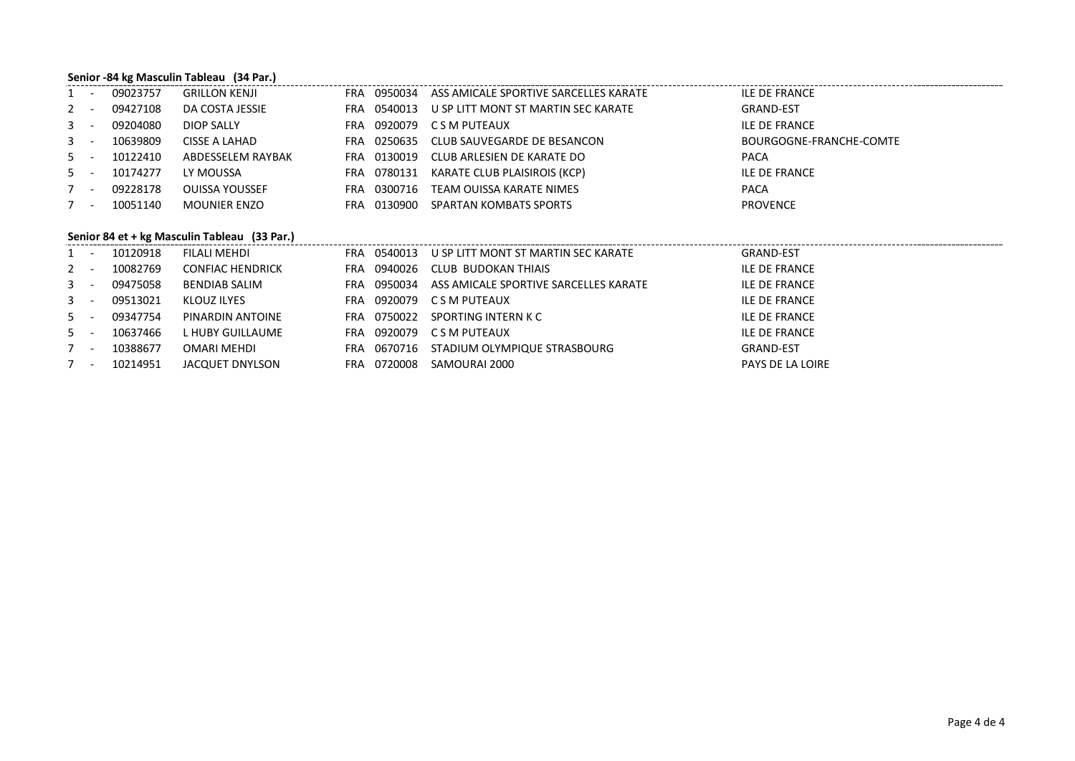### **Senior -84 kg Masculin Tableau (34 Par.)**

| $1 -$ | 09023757 | <b>GRILLON KENJI</b> |     |             | FRA 0950034 ASS AMICALE SPORTIVE SARCELLES KARATE | ILE DE FRANCE           |
|-------|----------|----------------------|-----|-------------|---------------------------------------------------|-------------------------|
| $2 -$ | 09427108 | DA COSTA JESSIE      |     | FRA 0540013 | U SP LITT MONT ST MARTIN SEC KARATE               | <b>GRAND-EST</b>        |
| $3 -$ | 09204080 | DIOP SALLY           | FRA |             | 0920079 CSM PUTEAUX                               | ILE DE FRANCE           |
| $3 -$ | 10639809 | CISSE A LAHAD        |     |             | FRA 0250635 CLUB SAUVEGARDE DE BESANCON           | BOURGOGNE-FRANCHE-COMTE |
| $5 -$ | 10122410 | ABDESSELEM RAYBAK    |     | FRA 0130019 | CLUB ARLESIEN DE KARATE DO                        | <b>PACA</b>             |
| $5 -$ | 10174277 | LY MOUSSA            | FRA |             | 0780131 KARATE CLUB PLAISIROIS (KCP)              | ILE DE FRANCE           |
| $7 -$ | 09228178 | OUISSA YOUSSEF       | FRA | 0300716     | TEAM OUISSA KARATE NIMES                          | <b>PACA</b>             |
| 7 -   | 10051140 | <b>MOUNIER ENZO</b>  | FRA | 0130900     | SPARTAN KOMBATS SPORTS                            | <b>PROVENCE</b>         |

## **Senior 84 et + kg Masculin Tableau (33 Par.)**

| 10120918<br>$1 -$ | FILALI MEHDI            | FRA 0540013    | U SP LITT MONT ST MARTIN SEC KARATE   | <b>GRAND-EST</b>        |
|-------------------|-------------------------|----------------|---------------------------------------|-------------------------|
| 10082769<br>$2 -$ | <b>CONFIAC HENDRICK</b> | FRA 0940026    | CLUB BUDOKAN THIAIS                   | ILE DE FRANCE           |
| 09475058<br>$3 -$ | <b>BENDIAB SALIM</b>    | 0950034<br>FRA | ASS AMICALE SPORTIVE SARCELLES KARATE | ILE DE FRANCE           |
| $3 -$<br>09513021 | KLOUZ ILYES             | FRA            | 0920079 CSM PUTEAUX                   | ILE DE FRANCE           |
| $5 -$<br>09347754 | PINARDIN ANTOINE        | FRA 0750022    | SPORTING INTERN K C                   | ILE DE FRANCE           |
| 10637466<br>$5 -$ | L HUBY GUILLAUME        | FRA            | 0920079 CSM PUTEAUX                   | ILE DE FRANCE           |
| 10388677<br>7 -   | OMARI MEHDI             | FRA            | 0670716 STADIUM OLYMPIQUE STRASBOURG  | <b>GRAND-EST</b>        |
| 10214951<br>$7 -$ | JACQUET DNYLSON         | FRA 0720008    | SAMOURAI 2000                         | <b>PAYS DE LA LOIRE</b> |